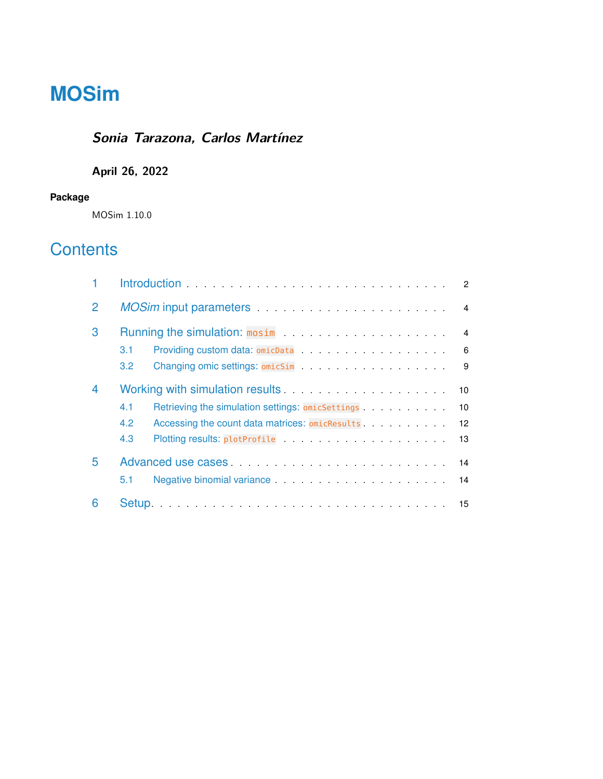# **MOSim**

## **Sonia Tarazona, Carlos Martínez**

### **April 26, 2022**

#### **Package**

MOSim 1.10.0

## **Contents**

|                | $\overline{2}$                                                                                                                   |                                                                                                                                                                                                                                       |  |  |  |  |  |
|----------------|----------------------------------------------------------------------------------------------------------------------------------|---------------------------------------------------------------------------------------------------------------------------------------------------------------------------------------------------------------------------------------|--|--|--|--|--|
| $\overline{2}$ | MOSim input parameters entertainment and the material state of the material state of the material state of the<br>$\overline{4}$ |                                                                                                                                                                                                                                       |  |  |  |  |  |
| 3              | $\overline{4}$                                                                                                                   |                                                                                                                                                                                                                                       |  |  |  |  |  |
|                | 3.1                                                                                                                              | 6                                                                                                                                                                                                                                     |  |  |  |  |  |
|                | $3.2^{\circ}$                                                                                                                    | 9                                                                                                                                                                                                                                     |  |  |  |  |  |
| $\overline{4}$ | 10                                                                                                                               |                                                                                                                                                                                                                                       |  |  |  |  |  |
|                | 4.1                                                                                                                              | Retrieving the simulation settings: omicSettings.<br>10                                                                                                                                                                               |  |  |  |  |  |
|                | 4.2                                                                                                                              | Accessing the count data matrices: omicResults<br>$12 \overline{ }$                                                                                                                                                                   |  |  |  |  |  |
|                | 4.3                                                                                                                              | 13                                                                                                                                                                                                                                    |  |  |  |  |  |
| 5              | 14                                                                                                                               |                                                                                                                                                                                                                                       |  |  |  |  |  |
|                | 5.1                                                                                                                              | Negative binomial variance expansion of the state of the state of the state of the state of the state of the state of the state of the state of the state of the state of the state of the state of the state of the state of<br>- 14 |  |  |  |  |  |
| 6              |                                                                                                                                  |                                                                                                                                                                                                                                       |  |  |  |  |  |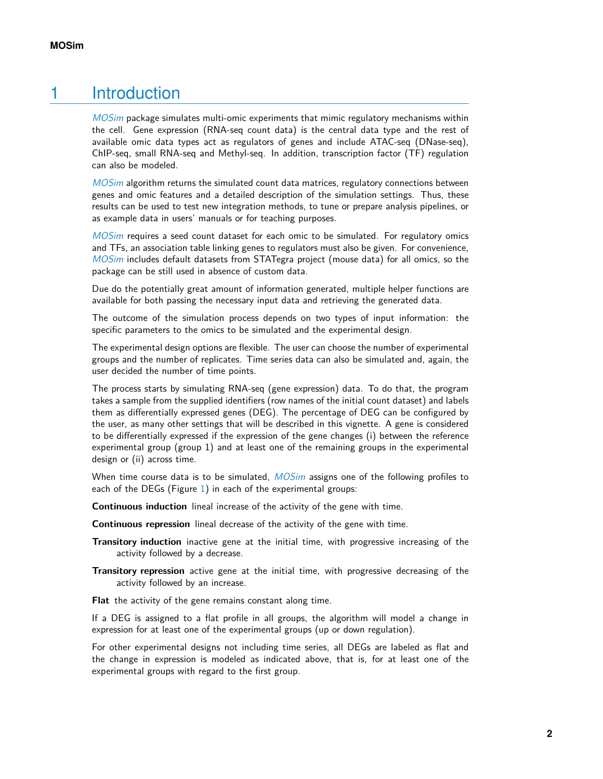## 1 Introduction

<span id="page-1-0"></span>[MOSim](http://bioconductor.org/packages/MOSim) package simulates multi-omic experiments that mimic regulatory mechanisms within the cell. Gene expression (RNA-seq count data) is the central data type and the rest of available omic data types act as regulators of genes and include ATAC-seq (DNase-seq), ChIP-seq, small RNA-seq and Methyl-seq. In addition, transcription factor (TF) regulation can also be modeled.

[MOSim](http://bioconductor.org/packages/MOSim) algorithm returns the simulated count data matrices, regulatory connections between genes and omic features and a detailed description of the simulation settings. Thus, these results can be used to test new integration methods, to tune or prepare analysis pipelines, or as example data in users' manuals or for teaching purposes.

[MOSim](http://bioconductor.org/packages/MOSim) requires a seed count dataset for each omic to be simulated. For regulatory omics and TFs, an association table linking genes to regulators must also be given. For convenience, [MOSim](http://bioconductor.org/packages/MOSim) includes default datasets from STATegra project (mouse data) for all omics, so the package can be still used in absence of custom data.

Due do the potentially great amount of information generated, multiple helper functions are available for both passing the necessary input data and retrieving the generated data.

The outcome of the simulation process depends on two types of input information: the specific parameters to the omics to be simulated and the experimental design.

The experimental design options are flexible. The user can choose the number of experimental groups and the number of replicates. Time series data can also be simulated and, again, the user decided the number of time points.

The process starts by simulating RNA-seq (gene expression) data. To do that, the program takes a sample from the supplied identifiers (row names of the initial count dataset) and labels them as differentially expressed genes (DEG). The percentage of DEG can be configured by the user, as many other settings that will be described in this vignette. A gene is considered to be differentially expressed if the expression of the gene changes (i) between the reference experimental group (group 1) and at least one of the remaining groups in the experimental design or (ii) across time.

When time course data is to be simulated, [MOSim](http://bioconductor.org/packages/MOSim) assigns one of the following profiles to each of the DEGs (Figure [1\)](#page-2-1) in each of the experimental groups:

**Continuous induction** lineal increase of the activity of the gene with time.

**Continuous repression** lineal decrease of the activity of the gene with time.

- **Transitory induction** inactive gene at the initial time, with progressive increasing of the activity followed by a decrease.
- **Transitory repression** active gene at the initial time, with progressive decreasing of the activity followed by an increase.

**Flat** the activity of the gene remains constant along time.

If a DEG is assigned to a flat profile in all groups, the algorithm will model a change in expression for at least one of the experimental groups (up or down regulation).

For other experimental designs not including time series, all DEGs are labeled as flat and the change in expression is modeled as indicated above, that is, for at least one of the experimental groups with regard to the first group.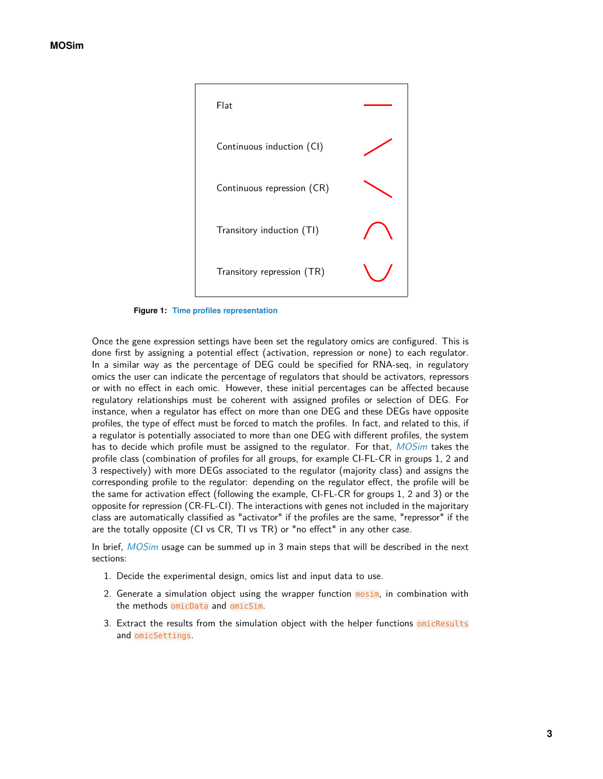<span id="page-2-1"></span>

**Figure 1: Time profiles representation**

Once the gene expression settings have been set the regulatory omics are configured. This is done first by assigning a potential effect (activation, repression or none) to each regulator. In a similar way as the percentage of DEG could be specified for RNA-seq, in regulatory omics the user can indicate the percentage of regulators that should be activators, repressors or with no effect in each omic. However, these initial percentages can be affected because regulatory relationships must be coherent with assigned profiles or selection of DEG. For instance, when a regulator has effect on more than one DEG and these DEGs have opposite profiles, the type of effect must be forced to match the profiles. In fact, and related to this, if a regulator is potentially associated to more than one DEG with different profiles, the system has to decide which profile must be assigned to the regulator. For that, [MOSim](http://bioconductor.org/packages/MOSim) takes the profile class (combination of profiles for all groups, for example CI-FL-CR in groups 1, 2 and 3 respectively) with more DEGs associated to the regulator (majority class) and assigns the corresponding profile to the regulator: depending on the regulator effect, the profile will be the same for activation effect (following the example, CI-FL-CR for groups 1, 2 and 3) or the opposite for repression (CR-FL-CI). The interactions with genes not included in the majoritary class are automatically classified as "activator" if the profiles are the same, "repressor" if the are the totally opposite (CI vs CR, TI vs TR) or "no effect" in any other case.

In brief, [MOSim](http://bioconductor.org/packages/MOSim) usage can be summed up in 3 main steps that will be described in the next sections:

- 1. Decide the experimental design, omics list and input data to use.
- 2. Generate a simulation object using the wrapper function mosim, in combination with the methods omicData and omicSim.
- <span id="page-2-0"></span>3. Extract the results from the simulation object with the helper functions omicResults and omicSettings.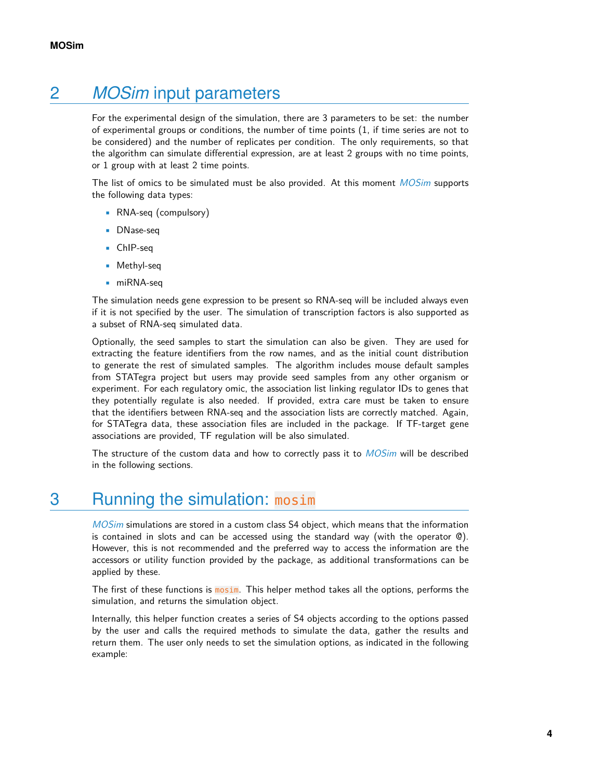## 2 *[MOSim](http://bioconductor.org/packages/MOSim)* input parameters

For the experimental design of the simulation, there are 3 parameters to be set: the number of experimental groups or conditions, the number of time points (1, if time series are not to be considered) and the number of replicates per condition. The only requirements, so that the algorithm can simulate differential expression, are at least 2 groups with no time points, or 1 group with at least 2 time points.

The list of omics to be simulated must be also provided. At this moment [MOSim](http://bioconductor.org/packages/MOSim) supports the following data types:

- RNA-seq (compulsory)
- DNase-seq
- ChIP-seq
- Methyl-seq
- miRNA-sea

The simulation needs gene expression to be present so RNA-seq will be included always even if it is not specified by the user. The simulation of transcription factors is also supported as a subset of RNA-seq simulated data.

Optionally, the seed samples to start the simulation can also be given. They are used for extracting the feature identifiers from the row names, and as the initial count distribution to generate the rest of simulated samples. The algorithm includes mouse default samples from STATegra project but users may provide seed samples from any other organism or experiment. For each regulatory omic, the association list linking regulator IDs to genes that they potentially regulate is also needed. If provided, extra care must be taken to ensure that the identifiers between RNA-seq and the association lists are correctly matched. Again, for STATegra data, these association files are included in the package. If TF-target gene associations are provided, TF regulation will be also simulated.

<span id="page-3-0"></span>The structure of the custom data and how to correctly pass it to [MOSim](http://bioconductor.org/packages/MOSim) will be described in the following sections.

## 3 Running the simulation: mosim

[MOSim](http://bioconductor.org/packages/MOSim) simulations are stored in a custom class S4 object, which means that the information is contained in slots and can be accessed using the standard way (with the operator  $\mathcal{O}(1)$ . However, this is not recommended and the preferred way to access the information are the accessors or utility function provided by the package, as additional transformations can be applied by these.

The first of these functions is mosim. This helper method takes all the options, performs the simulation, and returns the simulation object.

Internally, this helper function creates a series of S4 objects according to the options passed by the user and calls the required methods to simulate the data, gather the results and return them. The user only needs to set the simulation options, as indicated in the following example: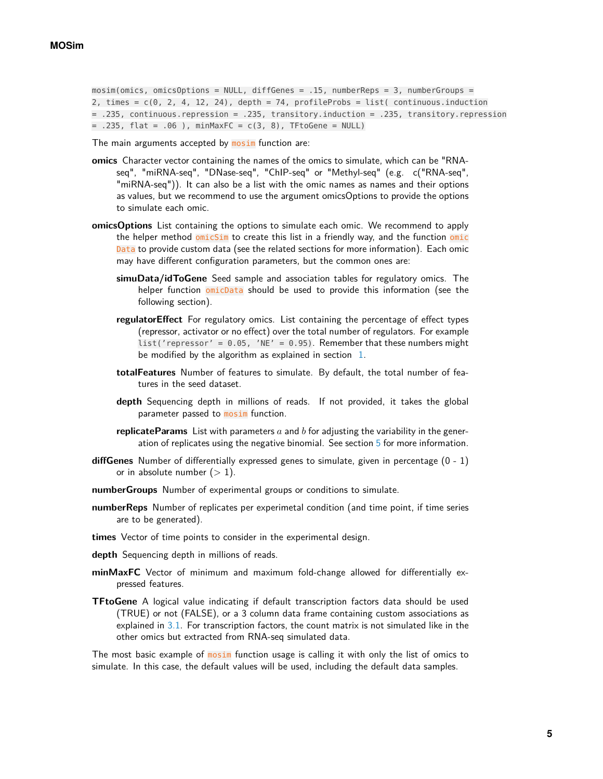```
mosim(omics, omicsOptions = NULL, diffGenes = .15, numberReps = 3, numberGroups =
2, times = c(0, 2, 4, 12, 24), depth = 74, profileProbs = list( continuous.induction
= .235, continuous.repression = .235, transitory.induction = .235, transitory.repression
= .235, flat = .06), minMaxFC = c(3, 8), TFtoGene = NULL)
```
The main arguments accepted by **mosim** function are:

- **omics** Character vector containing the names of the omics to simulate, which can be "RNAseq", "miRNA-seq", "DNase-seq", "ChIP-seq" or "Methyl-seq" (e.g. c("RNA-seq", "miRNA-seq")). It can also be a list with the omic names as names and their options as values, but we recommend to use the argument omicsOptions to provide the options to simulate each omic.
- **omicsOptions** List containing the options to simulate each omic. We recommend to apply the helper method omicSim to create this list in a friendly way, and the function omic Data to provide custom data (see the related sections for more information). Each omic may have different configuration parameters, but the common ones are:
	- **simuData/idToGene** Seed sample and association tables for regulatory omics. The helper function omicData should be used to provide this information (see the following section).
	- **regulatorEffect** For regulatory omics. List containing the percentage of effect types (repressor, activator or no effect) over the total number of regulators. For example  $list('repressor' = 0.05, 'NE' = 0.95).$  Remember that these numbers might be modified by the algorithm as explained in section  $1$ .
	- **totalFeatures** Number of features to simulate. By default, the total number of features in the seed dataset.
	- **depth** Sequencing depth in millions of reads. If not provided, it takes the global parameter passed to **mosim** function.
	- **replicateParams** List with parameters a and b for adjusting the variability in the gener-ation of replicates using the negative binomial. See section [5](#page-13-0) for more information.
- **diffGenes** Number of differentially expressed genes to simulate, given in percentage (0 1) or in absolute number  $(> 1)$ .
- **numberGroups** Number of experimental groups or conditions to simulate.
- **numberReps** Number of replicates per experimetal condition (and time point, if time series are to be generated).
- **times** Vector of time points to consider in the experimental design.
- **depth** Sequencing depth in millions of reads.
- **minMaxFC** Vector of minimum and maximum fold-change allowed for differentially expressed features.
- **TFtoGene** A logical value indicating if default transcription factors data should be used (TRUE) or not (FALSE), or a 3 column data frame containing custom associations as explained in [3.1.](#page-5-0) For transcription factors, the count matrix is not simulated like in the other omics but extracted from RNA-seq simulated data.

The most basic example of mosim function usage is calling it with only the list of omics to simulate. In this case, the default values will be used, including the default data samples.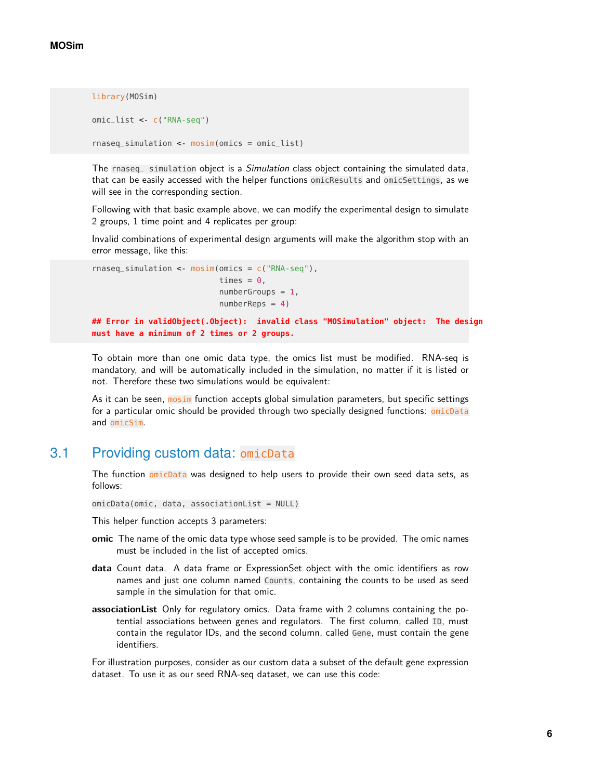```
library(MOSim)
```

```
omic_list <- c("RNA-seq")
rnaseq_simulation <- mosim(omics = omic_list)
```
The rnaseq simulation object is a Simulation class object containing the simulated data, that can be easily accessed with the helper functions omicResults and omicSettings, as we will see in the corresponding section.

Following with that basic example above, we can modify the experimental design to simulate 2 groups, 1 time point and 4 replicates per group:

Invalid combinations of experimental design arguments will make the algorithm stop with an error message, like this:

```
rnaseq_simulation <- mosim(omics = c("RNA-seq"),
                           times = \theta,
                           numberGroups = 1,numberReps = 4)
## Error in validObject(.Object): invalid class "MOSimulation" object: The design
must have a minimum of 2 times or 2 groups.
```
To obtain more than one omic data type, the omics list must be modified. RNA-seq is mandatory, and will be automatically included in the simulation, no matter if it is listed or not. Therefore these two simulations would be equivalent:

<span id="page-5-0"></span>As it can be seen, mosim function accepts global simulation parameters, but specific settings for a particular omic should be provided through two specially designed functions: omicData and omicSim.

#### 3.1 Providing custom data: omicData

The function omicData was designed to help users to provide their own seed data sets, as follows:

omicData(omic, data, associationList = NULL)

This helper function accepts 3 parameters:

- **omic** The name of the omic data type whose seed sample is to be provided. The omic names must be included in the list of accepted omics.
- **data** Count data. A data frame or ExpressionSet object with the omic identifiers as row names and just one column named Counts, containing the counts to be used as seed sample in the simulation for that omic.
- **associationList** Only for regulatory omics. Data frame with 2 columns containing the potential associations between genes and regulators. The first column, called ID, must contain the regulator IDs, and the second column, called Gene, must contain the gene identifiers.

For illustration purposes, consider as our custom data a subset of the default gene expression dataset. To use it as our seed RNA-seq dataset, we can use this code: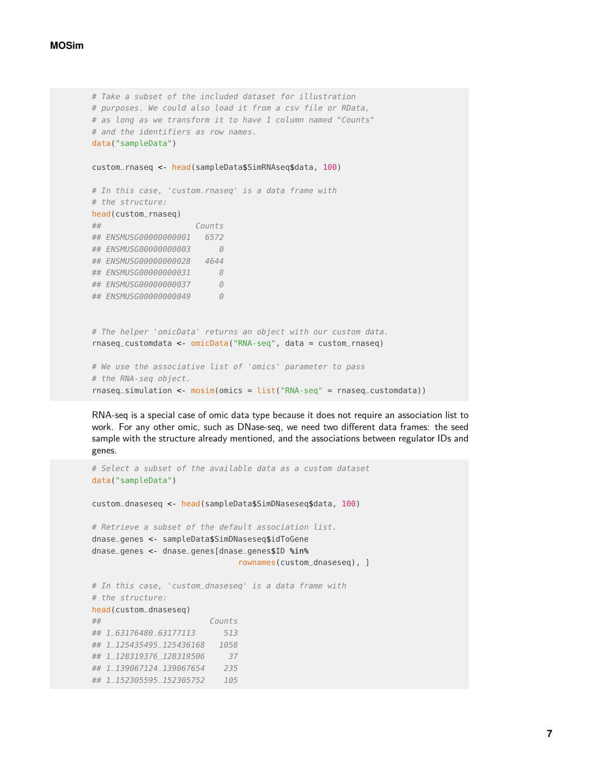```
# Take a subset of the included dataset for illustration
# purposes. We could also load it from a csv file or RData,
# as long as we transform it to have 1 column named "Counts"
# and the identifiers as row names.
data("sampleData")
custom_rnaseq <- head(sampleData$SimRNAseq$data, 100)
# In this case, 'custom_rnaseq' is a data frame with
# the structure:
head(custom_rnaseq)
## Counts
## ENSMUSG00000000001 6572
## ENSMUSG000000000003 0
## ENSMUSG00000000028 4644
## ENSMUSG00000000031 8
## ENSMUSG00000000037 0
## ENSMUSG00000000049 0
# The helper 'omicData' returns an object with our custom data.
rnaseq_customdata <- omicData("RNA-seq", data = custom_rnaseq)
# We use the associative list of 'omics' parameter to pass
# the RNA-seq object.
rnaseq_simulation <- mosim(omics = list("RNA-seq" = rnaseq_customdata))
```
RNA-seq is a special case of omic data type because it does not require an association list to work. For any other omic, such as DNase-seq, we need two different data frames: the seed sample with the structure already mentioned, and the associations between regulator IDs and genes.

```
# Select a subset of the available data as a custom dataset
data("sampleData")
custom_dnaseseq <- head(sampleData$SimDNaseseq$data, 100)
# Retrieve a subset of the default association list.
dnase_genes <- sampleData$SimDNaseseq$idToGene
dnase_genes <- dnase_genes[dnase_genes$ID %in%
                             rownames(custom_dnaseseq), ]
# In this case, 'custom_dnaseseq' is a data frame with
# the structure:
head(custom_dnaseseq)
## Counts
## 1_63176480_63177113 513
## 1_125435495_125436168 1058
## 1_128319376_128319506 37
## 1_139067124_139067654 235
## 1_152305595_152305752 105
```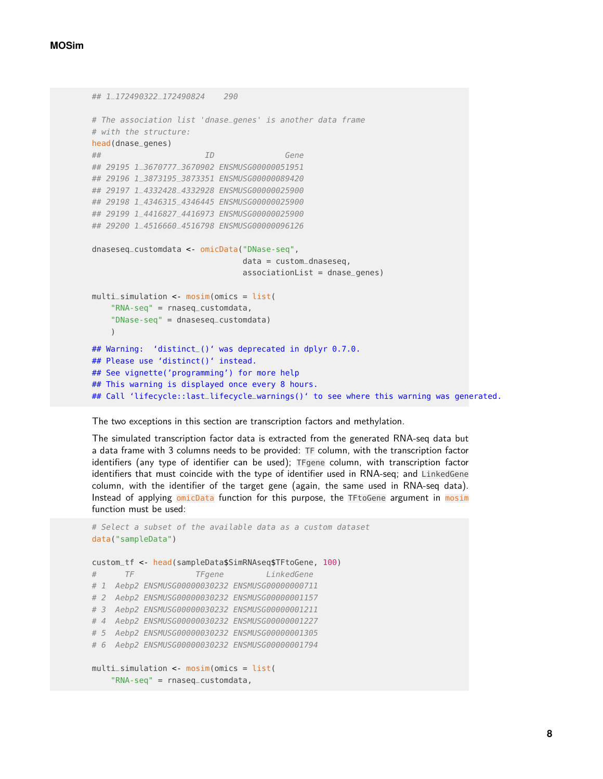```
## 1_172490322_172490824 290
# The association list 'dnase_genes' is another data frame
# with the structure:
head(dnase_genes)
## ID Gene
## 29195 1_3670777_3670902 ENSMUSG00000051951
## 29196 1_3873195_3873351 ENSMUSG00000089420
## 29197 1_4332428_4332928 ENSMUSG00000025900
## 29198 1_4346315_4346445 ENSMUSG00000025900
## 29199 1_4416827_4416973 ENSMUSG00000025900
## 29200 1_4516660_4516798 ENSMUSG00000096126
dnaseseq_customdata <- omicData("DNase-seq",
                               data = custom_dnaseseq,
                               associationList = dnase_genes)
multi_simulation <- mosim(omics = list(
    "RNA-seq" = rnaseq_customdata,
    "DNase-seq" = dnaseseq_customdata)
    )
## Warning: 'distinct_()' was deprecated in dplyr 0.7.0.
## Please use 'distinct()' instead.
## See vignette('programming') for more help
## This warning is displayed once every 8 hours.
## Call 'lifecycle::last_lifecycle_warnings()' to see where this warning was generated.
```
The two exceptions in this section are transcription factors and methylation.

The simulated transcription factor data is extracted from the generated RNA-seq data but a data frame with 3 columns needs to be provided: TF column, with the transcription factor identifiers (any type of identifier can be used); TFgene column, with transcription factor identifiers that must coincide with the type of identifier used in RNA-seq; and LinkedGene column, with the identifier of the target gene (again, the same used in RNA-seq data). Instead of applying omicData function for this purpose, the TFtoGene argument in mosim function must be used:

```
# Select a subset of the available data as a custom dataset
data("sampleData")
custom_tf <- head(sampleData$SimRNAseq$TFtoGene, 100)
# TF TFgene LinkedGene
# 1 Aebp2 ENSMUSG00000030232 ENSMUSG00000000711
# 2 Aebp2 ENSMUSG00000030232 ENSMUSG00000001157
# 3 Aebp2 ENSMUSG00000030232 ENSMUSG00000001211
# 4 Aebp2 ENSMUSG00000030232 ENSMUSG00000001227
# 5 Aebp2 ENSMUSG00000030232 ENSMUSG00000001305
# 6 Aebp2 ENSMUSG00000030232 ENSMUSG00000001794
multi_simulation <- mosim(omics = list(
    "RNA-seq" = rnaseq_customdata,
```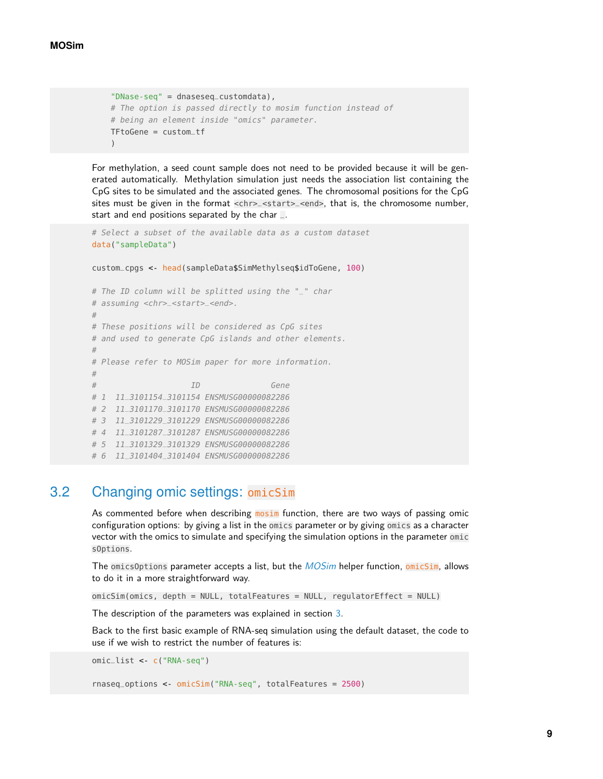```
"DNase-seq" = dnaseseq_customdata),
# The option is passed directly to mosim function instead of
# being an element inside "omics" parameter.
TFtoGene = custom_tf
)
```
For methylation, a seed count sample does not need to be provided because it will be generated automatically. Methylation simulation just needs the association list containing the CpG sites to be simulated and the associated genes. The chromosomal positions for the CpG sites must be given in the format <chr>\_<start>\_<end>, that is, the chromosome number, start and end positions separated by the char  $\Box$ .

```
# Select a subset of the available data as a custom dataset
data("sampleData")
custom_cpgs <- head(sampleData$SimMethylseq$idToGene, 100)
# The ID column will be splitted using the "_" char
# assuming <chr> < start> _<end>.
#
# These positions will be considered as CpG sites
# and used to generate CpG islands and other elements.
#
# Please refer to MOSim paper for more information.
#
# ID Gene
# 1 11 3101154 3101154 ENSMUSG00000082286
# 2 11_3101170_3101170 ENSMUSG00000082286
# 3 11_3101229_3101229 ENSMUSG00000082286
# 4 11_3101287_3101287 ENSMUSG00000082286
# 5 11_3101329_3101329 ENSMUSG00000082286
# 6 11_3101404_3101404 ENSMUSG00000082286
```
#### 3.2 Changing omic settings: omicSim

<span id="page-8-0"></span>As commented before when describing mosim function, there are two ways of passing omic configuration options: by giving a list in the omics parameter or by giving omics as a character vector with the omics to simulate and specifying the simulation options in the parameter omic sOptions.

The omicsOptions parameter accepts a list, but the [MOSim](http://bioconductor.org/packages/MOSim) helper function, omicSim, allows to do it in a more straightforward way.

omicSim(omics, depth = NULL, totalFeatures = NULL, regulatorEffect = NULL)

The description of the parameters was explained in section [3.](#page-3-0)

Back to the first basic example of RNA-seq simulation using the default dataset, the code to use if we wish to restrict the number of features is:

```
omic_list <- c("RNA-seq")
```

```
rnaseq_options <- omicSim("RNA-seq", totalFeatures = 2500)
```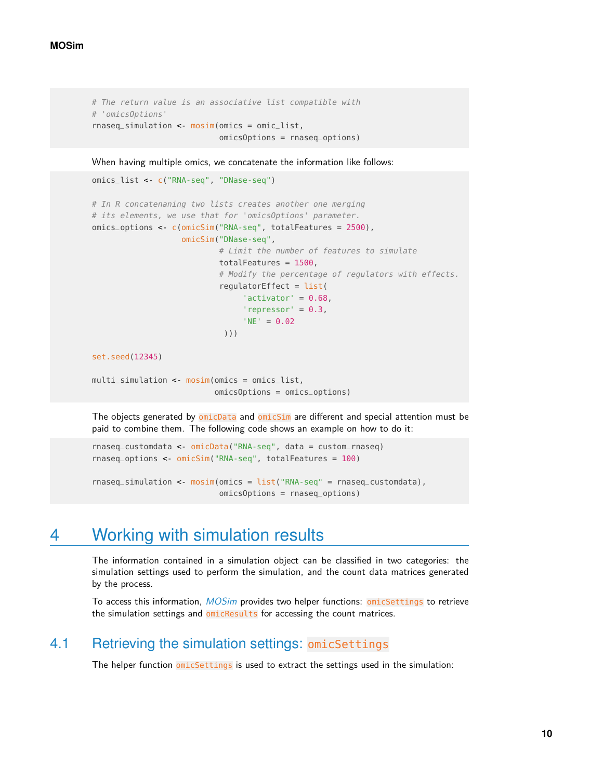```
# The return value is an associative list compatible with
# 'omicsOptions'
rnaseq_simulation <- mosim(omics = omic_list,
                           omicsOptions = rnaseq_options)
```
When having multiple omics, we concatenate the information like follows:

```
omics_list <- c("RNA-seq", "DNase-seq")
# In R concatenaning two lists creates another one merging
# its elements, we use that for 'omicsOptions' parameter.
omics_options <- c(omicSim("RNA-seq", totalFeatures = 2500),
                   omicSim("DNase-seq",
                           # Limit the number of features to simulate
                           totalFeatures = 1500,
                           # Modify the percentage of regulators with effects.
                           regulatorEffect = list(
                                'activator' = 0.68,
                                'repressor' = 0.3,
                                'NE' = 0.02)))
set.seed(12345)
```

```
multi_simulation <- mosim(omics = omics_list,
                          omicsOptions = omics_options)
```
The objects generated by omicData and omicSim are different and special attention must be paid to combine them. The following code shows an example on how to do it:

```
rnaseq_customdata <- omicData("RNA-seq", data = custom_rnaseq)
rnaseq_options <- omicSim("RNA-seq", totalFeatures = 100)
```

```
rnaseq_simulation <- mosim(omics = list("RNA-seq" = rnaseq_customdata),
                           omicsOptions = rnaseq_options)
```
## 4 Working with simulation results

The information contained in a simulation object can be classified in two categories: the simulation settings used to perform the simulation, and the count data matrices generated by the process.

<span id="page-9-1"></span>To access this information, [MOSim](http://bioconductor.org/packages/MOSim) provides two helper functions: omicSettings to retrieve the simulation settings and omicResults for accessing the count matrices.

#### 4.1 Retrieving the simulation settings: omicSettings

The helper function omicSettings is used to extract the settings used in the simulation: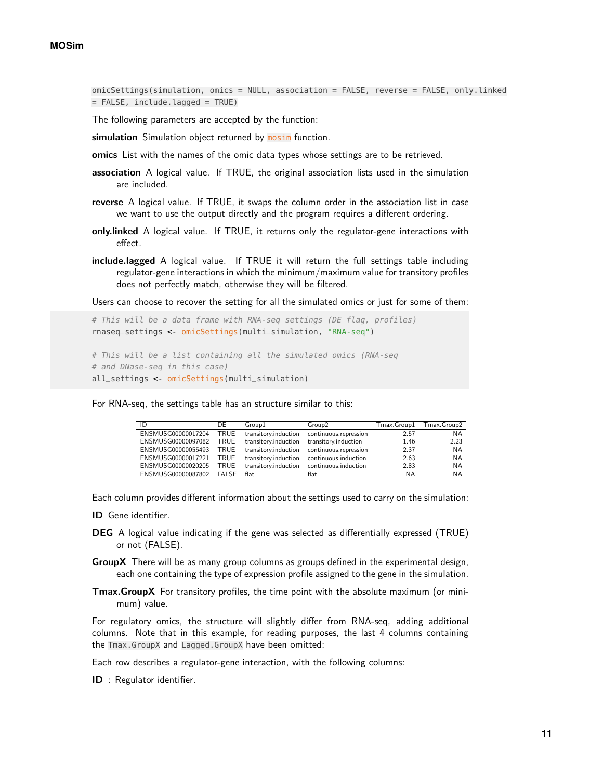omicSettings(simulation, omics = NULL, association = FALSE, reverse = FALSE, only.linked = FALSE, include.lagged = TRUE)

The following parameters are accepted by the function:

**simulation** Simulation object returned by mosim function.

- **omics** List with the names of the omic data types whose settings are to be retrieved.
- **association** A logical value. If TRUE, the original association lists used in the simulation are included.
- **reverse** A logical value. If TRUE, it swaps the column order in the association list in case we want to use the output directly and the program requires a different ordering.
- **only.linked** A logical value. If TRUE, it returns only the regulator-gene interactions with effect.
- **include.lagged** A logical value. If TRUE it will return the full settings table including regulator-gene interactions in which the minimum/maximum value for transitory profiles does not perfectly match, otherwise they will be filtered.

Users can choose to recover the setting for all the simulated omics or just for some of them:

```
# This will be a data frame with RNA-seq settings (DE flag, profiles)
rnaseq_settings <- omicSettings(multi_simulation, "RNA-seq")
```

```
# This will be a list containing all the simulated omics (RNA-seq
# and DNase-seq in this case)
all_settings <- omicSettings(multi_simulation)
```
For RNA-seq, the settings table has an structure similar to this:

| ID                 | DE    | Group1               | Group2                                     | $T$ max. $G$ roup $1$ | Tmax.Group2 |
|--------------------|-------|----------------------|--------------------------------------------|-----------------------|-------------|
| ENSMUSG00000017204 | TRUE  | transitory.induction | continuous.repression                      | 2.57                  | NA          |
| ENSMUSG00000097082 | TRUE  | transitory.induction | transitory.induction                       | 1.46                  | 2.23        |
| ENSMUSG00000055493 | TRUE  |                      | transitory.induction continuous.repression | 2.37                  | NA          |
| ENSMUSG00000017221 | TRUE  | transitory.induction | continuous.induction                       | 2.63                  | NA          |
| ENSMUSG00000020205 | TRUE  | transitory.induction | continuous.induction                       | 2.83                  | <b>NA</b>   |
| ENSMUSG00000087802 | FALSE | flat                 | flat                                       | ΝA                    | ΝA          |

Each column provides different information about the settings used to carry on the simulation:

- **ID** Gene identifier.
- **DEG** A logical value indicating if the gene was selected as differentially expressed (TRUE) or not (FALSE).
- **GroupX** There will be as many group columns as groups defined in the experimental design, each one containing the type of expression profile assigned to the gene in the simulation.
- **Tmax.GroupX** For transitory profiles, the time point with the absolute maximum (or minimum) value.

For regulatory omics, the structure will slightly differ from RNA-seq, adding additional columns. Note that in this example, for reading purposes, the last 4 columns containing the Tmax.GroupX and Lagged.GroupX have been omitted:

Each row describes a regulator-gene interaction, with the following columns:

**ID** : Regulator identifier.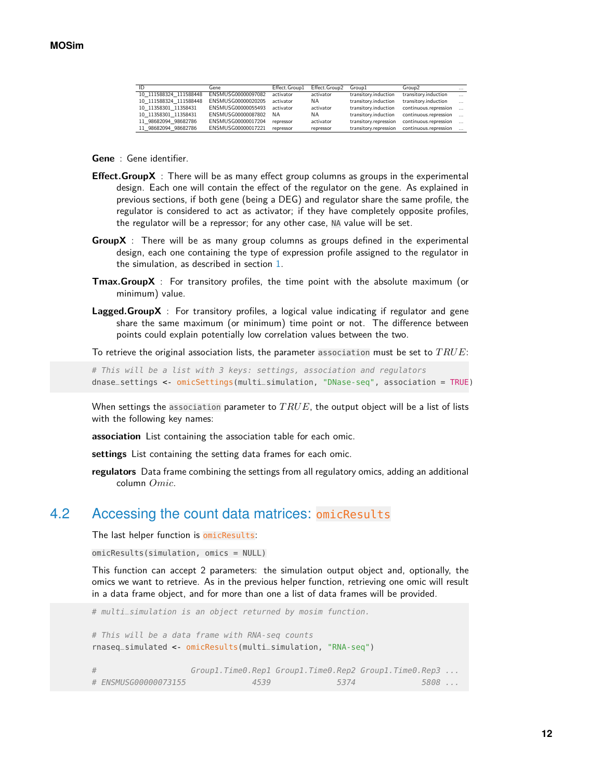| ID                     | Gene               | Effect.Group1 | Effect.Group2 | Group1                | Group <sub>2</sub>    | $\cdots$ |
|------------------------|--------------------|---------------|---------------|-----------------------|-----------------------|----------|
| 10 111588324 111588448 | ENSMUSG00000097082 | activator     | activator     | transitory.induction  | transitory.induction  | $\cdots$ |
| 10 111588324 111588448 | ENSMUSG00000020205 | activator     | NA.           | transitory.induction  | transitory.induction  | $\cdots$ |
| 10 11358301 11358431   | ENSMUSG00000055493 | activator     | activator     | transitory.induction  | continuous.repression |          |
| 10 11358301 11358431   | ENSMUSG00000087802 | <b>NA</b>     | <b>NA</b>     | transitory.induction  | continuous.repression |          |
| 11 98682094 98682786   | ENSMUSG00000017204 | repressor     | activator     | transitory.repression | continuous.repression |          |
| 11 98682094 98682786   | ENSMUSG00000017221 | repressor     | repressor     | transitory.repression | continuous.repression |          |

**Gene** : Gene identifier.

- **Effect.GroupX** : There will be as many effect group columns as groups in the experimental design. Each one will contain the effect of the regulator on the gene. As explained in previous sections, if both gene (being a DEG) and regulator share the same profile, the regulator is considered to act as activator; if they have completely opposite profiles, the regulator will be a repressor; for any other case, NA value will be set.
- **GroupX** : There will be as many group columns as groups defined in the experimental design, each one containing the type of expression profile assigned to the regulator in the simulation, as described in section [1.](#page-1-0)
- **Tmax.GroupX** : For transitory profiles, the time point with the absolute maximum (or minimum) value.
- **Lagged.GroupX** : For transitory profiles, a logical value indicating if regulator and gene share the same maximum (or minimum) time point or not. The difference between points could explain potentially low correlation values between the two.

To retrieve the original association lists, the parameter association must be set to  $TRUE$ :

# This will be a list with 3 keys: settings, association and regulators dnase\_settings <- omicSettings(multi\_simulation, "DNase-seq", association = TRUE)

When settings the association parameter to  $TRUE$ , the output object will be a list of lists with the following key names:

**association** List containing the association table for each omic.

**settings** List containing the setting data frames for each omic.

<span id="page-11-0"></span>**regulators** Data frame combining the settings from all regulatory omics, adding an additional column Omic.

#### 4.2 Accessing the count data matrices: omicResults

The last helper function is omicResults:

omicResults(simulation, omics = NULL)

This function can accept 2 parameters: the simulation output object and, optionally, the omics we want to retrieve. As in the previous helper function, retrieving one omic will result in a data frame object, and for more than one a list of data frames will be provided.

# multi\_simulation is an object returned by mosim function. # This will be a data frame with RNA-seq counts rnaseq\_simulated <- omicResults(multi\_simulation, "RNA-seq") # Group1.Time0.Rep1 Group1.Time0.Rep2 Group1.Time0.Rep3 ... # ENSMUSG00000073155 4539 5374 5808 ...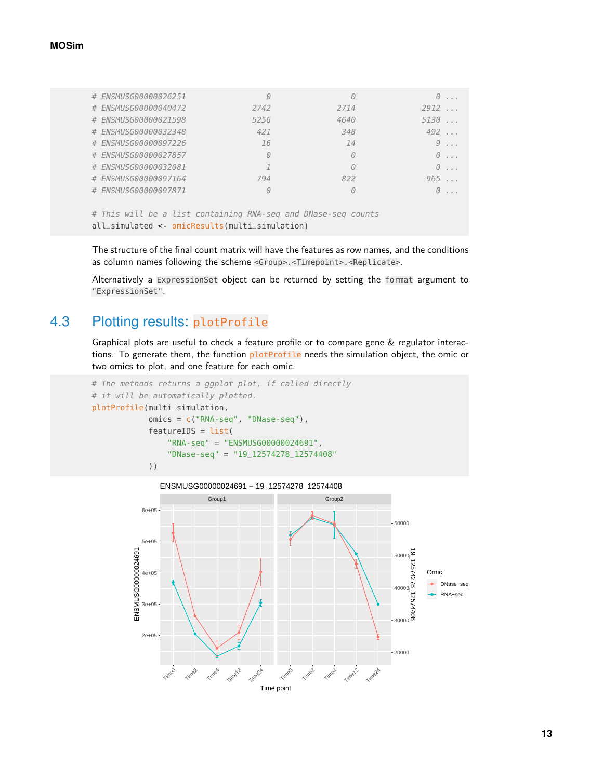#### **MOSim**

| # ENSMUSG00000026251 | $\left(\cdot\right)$                                          | $\Theta$ | $\theta$     |
|----------------------|---------------------------------------------------------------|----------|--------------|
| # ENSMUSG00000040472 | 2742                                                          | 2714     | 2912         |
| # ENSMUSG00000021598 | 5256                                                          | 4640     | 5130         |
| # ENSMUSG00000032348 | 421                                                           | 348      | 492          |
| # ENSMUSG00000097226 | 16                                                            | 14       | $9 \ldots$   |
| # ENSMUSG00000027857 | $\Theta$                                                      | $\theta$ | $\theta$ ,,, |
| # ENSMUSG00000032081 |                                                               | $\theta$ | $\Theta$ ,,, |
| # ENSMUSG00000097164 | 794                                                           | 822      | 965          |
| # ENSMUSG00000097871 | $\theta$                                                      | $\theta$ | $\Theta$ ,,, |
|                      |                                                               |          |              |
|                      | # This will be a list containing RNA-seq and DNase-seq counts |          |              |

```
all_simulated <- omicResults(multi_simulation)
```
The structure of the final count matrix will have the features as row names, and the conditions as column names following the scheme <Group>.<Timepoint>.<Replicate>.

<span id="page-12-0"></span>Alternatively a ExpressionSet object can be returned by setting the format argument to "ExpressionSet".

## 4.3 Plotting results: plotProfile

Graphical plots are useful to check a feature profile or to compare gene & regulator interactions. To generate them, the function plotProfile needs the simulation object, the omic or two omics to plot, and one feature for each omic.

```
# The methods returns a ggplot plot, if called directly
# it will be automatically plotted.
plotProfile(multi_simulation,
           omics = c("RNA-seq", "DNase-seq"),
            featureIDS = list("RNA-seq" = "ENSMUSG00000024691",
                "DNase-seq" = "19_12574278_12574408"
            ))
```
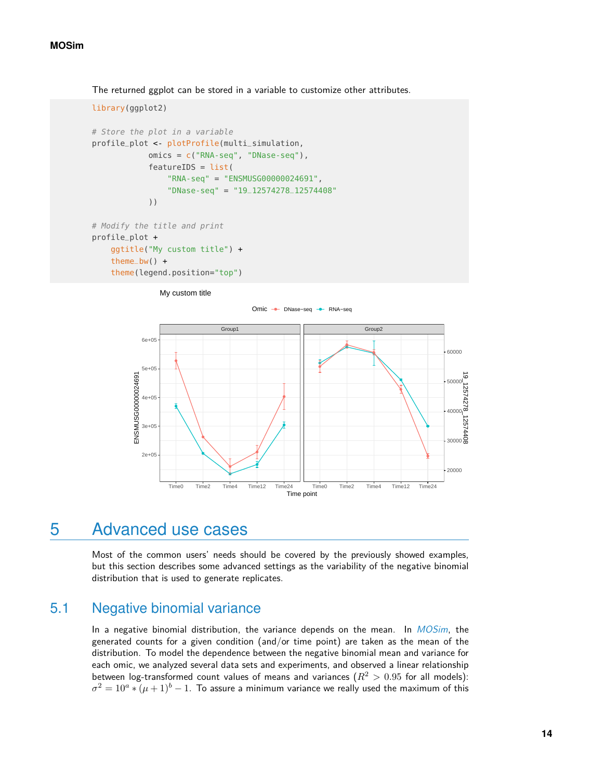The returned ggplot can be stored in a variable to customize other attributes.

```
library(ggplot2)
# Store the plot in a variable
profile_plot <- plotProfile(multi_simulation,
            omics = c("RNA-seq", "DNase-seq"),
            featureIDS = list("RNA-seq" = "ENSMUSG00000024691",
                "DNase-seq" = "19_12574278_12574408"
            ))
# Modify the title and print
profile_plot +
    ggtitle("My custom title") +
```
theme\_bw()  $+$ theme(legend.position="top")

My custom title



### <span id="page-13-0"></span>5 Advanced use cases

<span id="page-13-1"></span>Most of the common users' needs should be covered by the previously showed examples, but this section describes some advanced settings as the variability of the negative binomial distribution that is used to generate replicates.

#### 5.1 Negative binomial variance

In a negative binomial distribution, the variance depends on the mean. In  $MOSim$ , the generated counts for a given condition (and/or time point) are taken as the mean of the distribution. To model the dependence between the negative binomial mean and variance for each omic, we analyzed several data sets and experiments, and observed a linear relationship between log-transformed count values of means and variances ( $R^2 > 0.95$  for all models):  $\sigma^2 = 10^a * (\mu+1)^b - 1.$  To assure a minimum variance we really used the maximum of this